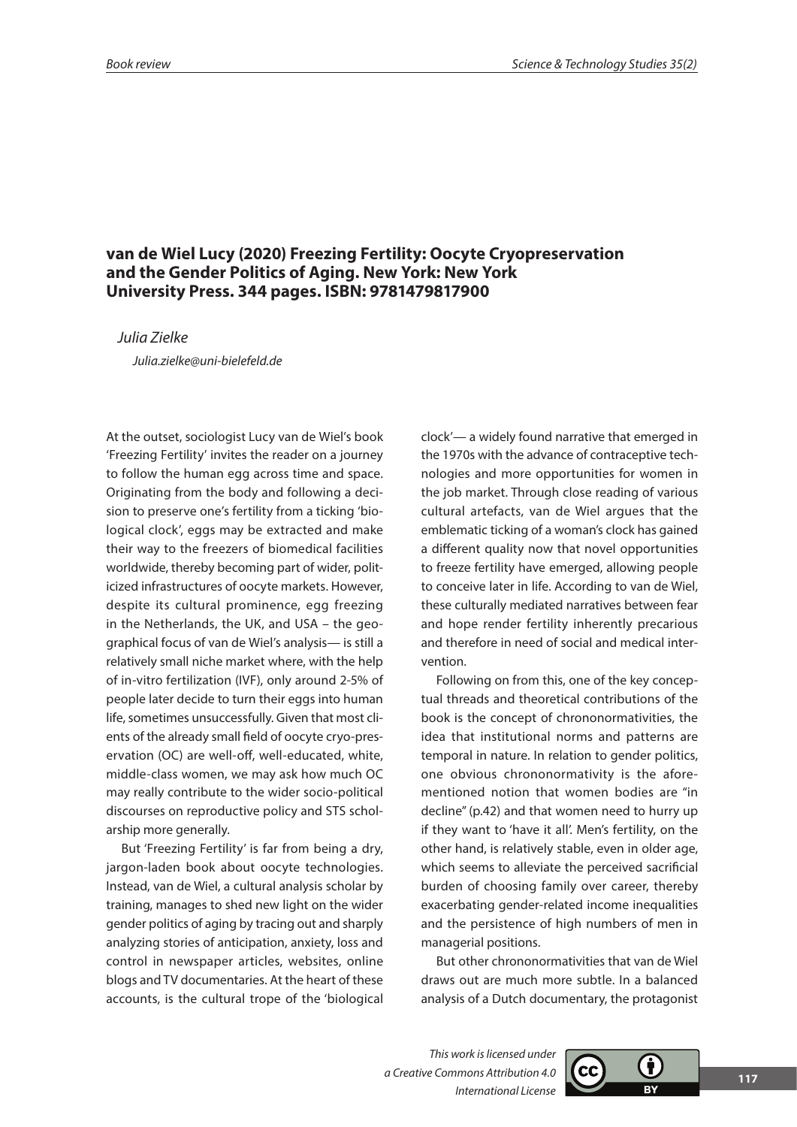## **van de Wiel Lucy (2020) Freezing Fertility: Oocyte Cryopreservation and the Gender Politics of Aging. New York: New York University Press. 344 pages. ISBN: 9781479817900**

*Julia Zielke*

*Julia.zielke@uni-bielefeld.de*

At the outset, sociologist Lucy van de Wiel's book 'Freezing Fertility' invites the reader on a journey to follow the human egg across time and space. Originating from the body and following a decision to preserve one's fertility from a ticking 'biological clock', eggs may be extracted and make their way to the freezers of biomedical facilities worldwide, thereby becoming part of wider, politicized infrastructures of oocyte markets. However, despite its cultural prominence, egg freezing in the Netherlands, the UK, and USA – the geographical focus of van de Wiel's analysis— is still a relatively small niche market where, with the help of in-vitro fertilization (IVF), only around 2-5% of people later decide to turn their eggs into human life, sometimes unsuccessfully. Given that most clients of the already small field of oocyte cryo-preservation (OC) are well-off, well-educated, white, middle-class women, we may ask how much OC may really contribute to the wider socio-political discourses on reproductive policy and STS scholarship more generally.

But 'Freezing Fertility' is far from being a dry, jargon-laden book about oocyte technologies. Instead, van de Wiel, a cultural analysis scholar by training, manages to shed new light on the wider gender politics of aging by tracing out and sharply analyzing stories of anticipation, anxiety, loss and control in newspaper articles, websites, online blogs and TV documentaries. At the heart of these accounts, is the cultural trope of the 'biological clock'— a widely found narrative that emerged in the 1970s with the advance of contraceptive technologies and more opportunities for women in the job market. Through close reading of various cultural artefacts, van de Wiel argues that the emblematic ticking of a woman's clock has gained a different quality now that novel opportunities to freeze fertility have emerged, allowing people to conceive later in life. According to van de Wiel, these culturally mediated narratives between fear and hope render fertility inherently precarious and therefore in need of social and medical intervention.

Following on from this, one of the key conceptual threads and theoretical contributions of the book is the concept of chrononormativities, the idea that institutional norms and patterns are temporal in nature. In relation to gender politics, one obvious chrononormativity is the aforementioned notion that women bodies are "in decline" (p.42) and that women need to hurry up if they want to 'have it all'. Men's fertility, on the other hand, is relatively stable, even in older age, which seems to alleviate the perceived sacrificial burden of choosing family over career, thereby exacerbating gender-related income inequalities and the persistence of high numbers of men in managerial positions.

But other chrononormativities that van de Wiel draws out are much more subtle. In a balanced analysis of a Dutch documentary, the protagonist

*This work is licensed under a Creative Commons Attribution 4.0 International License*

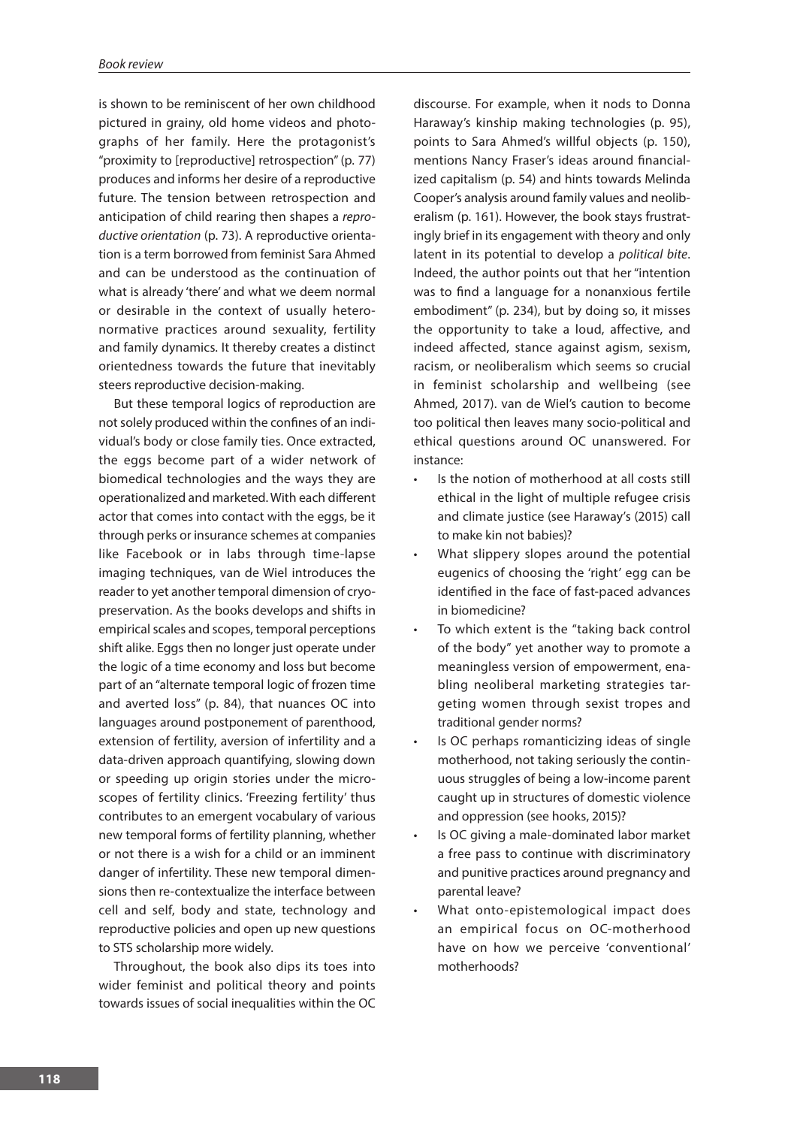is shown to be reminiscent of her own childhood pictured in grainy, old home videos and photographs of her family. Here the protagonist's "proximity to [reproductive] retrospection" (p. 77) produces and informs her desire of a reproductive future. The tension between retrospection and anticipation of child rearing then shapes a *reproductive orientation* (p. 73). A reproductive orientation is a term borrowed from feminist Sara Ahmed and can be understood as the continuation of what is already 'there' and what we deem normal or desirable in the context of usually heteronormative practices around sexuality, fertility and family dynamics. It thereby creates a distinct orientedness towards the future that inevitably steers reproductive decision-making.

But these temporal logics of reproduction are not solely produced within the confines of an individual's body or close family ties. Once extracted, the eggs become part of a wider network of biomedical technologies and the ways they are operationalized and marketed. With each different actor that comes into contact with the eggs, be it through perks or insurance schemes at companies like Facebook or in labs through time-lapse imaging techniques, van de Wiel introduces the reader to yet another temporal dimension of cryopreservation. As the books develops and shifts in empirical scales and scopes, temporal perceptions shift alike. Eggs then no longer just operate under the logic of a time economy and loss but become part of an "alternate temporal logic of frozen time and averted loss" (p. 84), that nuances OC into languages around postponement of parenthood, extension of fertility, aversion of infertility and a data-driven approach quantifying, slowing down or speeding up origin stories under the microscopes of fertility clinics. 'Freezing fertility' thus contributes to an emergent vocabulary of various new temporal forms of fertility planning, whether or not there is a wish for a child or an imminent danger of infertility. These new temporal dimensions then re-contextualize the interface between cell and self, body and state, technology and reproductive policies and open up new questions to STS scholarship more widely.

Throughout, the book also dips its toes into wider feminist and political theory and points towards issues of social inequalities within the OC

discourse. For example, when it nods to Donna Haraway's kinship making technologies (p. 95), points to Sara Ahmed's willful objects (p. 150), mentions Nancy Fraser's ideas around financialized capitalism (p. 54) and hints towards Melinda Cooper's analysis around family values and neoliberalism (p. 161). However, the book stays frustratingly brief in its engagement with theory and only latent in its potential to develop a *political bite*. Indeed, the author points out that her "intention was to find a language for a nonanxious fertile embodiment" (p. 234), but by doing so, it misses the opportunity to take a loud, affective, and indeed affected, stance against agism, sexism, racism, or neoliberalism which seems so crucial in feminist scholarship and wellbeing (see Ahmed, 2017). van de Wiel's caution to become too political then leaves many socio-political and ethical questions around OC unanswered. For instance:

- Is the notion of motherhood at all costs still ethical in the light of multiple refugee crisis and climate justice (see Haraway's (2015) call to make kin not babies)?
- What slippery slopes around the potential eugenics of choosing the 'right' egg can be identified in the face of fast-paced advances in biomedicine?
- To which extent is the "taking back control of the body" yet another way to promote a meaningless version of empowerment, enabling neoliberal marketing strategies targeting women through sexist tropes and traditional gender norms?
- Is OC perhaps romanticizing ideas of single motherhood, not taking seriously the continuous struggles of being a low-income parent caught up in structures of domestic violence and oppression (see hooks, 2015)?
- Is OC giving a male-dominated labor market a free pass to continue with discriminatory and punitive practices around pregnancy and parental leave?
- What onto-epistemological impact does an empirical focus on OC-motherhood have on how we perceive 'conventional' motherhoods?